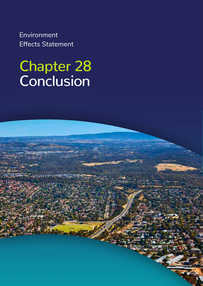Environment Effects Statement

# Chapter 28 Conclusion

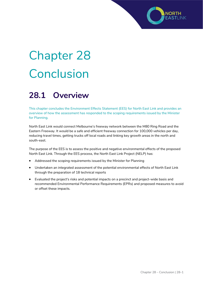# Chapter 28 Conclusion

### **28.1 Overview**

This chapter concludes the Environment Effects Statement (EES) for North East Link and provides an overview of how the assessment has responded to the scoping requirements issued by the Minister for Planning.

North East Link would connect Melbourne's freeway network between the M80 Ring Road and the Eastern Freeway. It would be a safe and efficient freeway connection for 100,000 vehicles per day, reducing travel times, getting trucks off local roads and linking key growth areas in the north and south-east.

The purpose of the EES is to assess the positive and negative environmental effects of the proposed North East Link. Through the EES process, the North East Link Project (NELP) has:

- Addressed the scoping requirements issued by the Minister for Planning
- Undertaken an integrated assessment of the potential environmental effects of North East Link through the preparation of 18 technical reports
- Evaluated the project's risks and potential impacts on a precinct and project-wide basis and recommended Environmental Performance Requirements (EPRs) and proposed measures to avoid or offset these impacts.

NORTH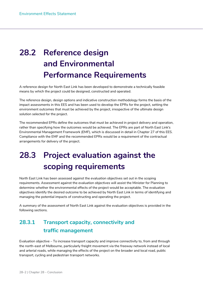## **28.2 Reference design and Environmental Performance Requirements**

A reference design for North East Link has been developed to demonstrate a technically feasible means by which the project could be designed, constructed and operated.

The reference design, design options and indicative construction methodology forms the basis of the impact assessments in this EES and has been used to develop the EPRs for the project, setting the environment outcomes that must be achieved by the project, irrespective of the ultimate design solution selected for the project.

The recommended EPRs define the outcomes that must be achieved in project delivery and operation, rather than specifying how the outcomes would be achieved. The EPRs are part of North East Link's Environmental Management Framework (EMF), which is discussed in detail in Chapter 27 of this EES. Compliance with the EMF and the recommended EPRs would be a requirement of the contractual arrangements for delivery of the project.

## **28.3 Project evaluation against the scoping requirements**

North East Link has been assessed against the evaluation objectives set out in the scoping requirements. Assessment against the evaluation objectives will assist the Minister for Planning to determine whether the environmental effects of the project would be acceptable. The evaluation objectives identify the desired outcome to be achieved by North East Link in terms of identifying and managing the potential impacts of constructing and operating the project.

A summary of the assessment of North East Link against the evaluation objectives is provided in the following sections.

#### **28.3.1 Transport capacity, connectivity and traffic management**

Evaluation objective – To increase transport capacity and improve connectivity to, from and through the north-east of Melbourne, particularly freight movement via the freeway network instead of local and arterial roads, while managing the effects of the project on the broader and local road, public transport, cycling and pedestrian transport networks.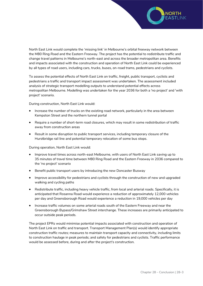

North East Link would complete the 'missing link' in Melbourne's orbital freeway network between the M80 Ring *Road* and the Eastern Freeway. The project has the potential to redistribute traffic and change travel patterns in Melbourne's north-east and across the broader metropolitan area. Benefits and impacts associated with the construction and operation of North East Link could be experienced by all types of road users, including cars, trucks, buses, on-road trams, pedestrians and cyclists.

To assess the potential effects of North East Link on traffic, freight, public transport, cyclists and pedestrians a traffic and transport impact assessment was undertaken. The assessment included analysis of strategic transport modelling outputs to understand potential effects across metropolitan Melbourne. Modelling was undertaken for the year 2036 for both a 'no project' and 'with project' scenario.

During construction, North East Link would:

- Increase the number of trucks on the existing road network, particularly in the area between Kempston Street and the northern tunnel portal
- Require a number of short-term road closures, which may result in some redistribution of traffic away from construction areas
- Result in some disruption to public transport services, including temporary closure of the Hurstbridge rail line and potential temporary relocation of some bus stops.

During operation, North East Link would:

- Improve travel times across north-east Melbourne, with users of North East Link saving up to 35 minutes of travel time between M80 Ring Road and the Eastern Freeway in 2036 compared to the 'no project' scenario
- Benefit public transport users by introducing the new Doncaster Busway
- Improve accessibility for pedestrians and cyclists through the construction of new and upgraded walking and cycling paths
- Redistribute traffic, including heavy vehicle traffic, from local and arterial roads. Specifically, it is anticipated that Rosanna Road would experience a reduction of approximately 12,000 vehicles per day and Greensborough Road would experience a reduction in 19,000 vehicles per day
- Increase traffic volumes on some arterial roads south of the Eastern Freeway and near the Greensborough Bypass/Grimshaw Street interchange. These increases are primarily anticipated to occur outside peak periods.

The project EPRs would minimise potential impacts associated with construction and operation of North East Link on traffic and transport. Transport Management Plan(s) would identify appropriate construction traffic routes; measures to maintain transport capacity and connectivity, including limits to construction haulage in peak periods; and safety for pedestrians and cyclists. Traffic performance would be assessed before, during and after the project's construction.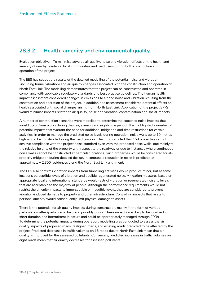#### **28.3.2 Health, amenity and environmental quality**

Evaluation objective – To minimise adverse air quality, noise and vibration effects on the health and amenity of nearby residents, local communities and road users during both construction and operation of the project.

The EES has set out the results of the detailed modelling of the potential noise and vibration (including tunnel vibration) and air quality changes associated with the construction and operation of North East Link. The modelling demonstrates that the project can be constructed and operated in compliance with applicable regulatory standards and best practice guidelines. The human health impact assessment considered changes in emissions to air and noise and vibration resulting from the construction and operation of the project. In addition, the assessment considered potential effects on health associated with social changes arising from North East Link. Application of the project EPRs would minimise impacts related to air quality, noise and vibration, contamination and social impacts.

A number of construction scenarios were modelled to determine the expected noise impacts that would occur from works during the day, evening and night-time period. This highlighted a number of potential impacts that warrant the need for additional mitigation and time restrictions for certain activities. In order to manage the predicted noise levels during operation, noise walls up to 10 metres high would be constructed along the road corridor. The EES predicted that 159 properties cannot achieve compliance with the project noise standard even with the proposed noise walls, due mainly to the relative heights of the property with respect to the roadway or due to instances where continuous noise walls cannot be constructed at particular locations. Such properties would be considered for atproperty mitigation during detailed design. In contrast, a reduction in noise is predicted at approximately 2,300 residences along the North East Link alignment.

The EES also confirms vibration impacts from tunnelling activities would produce minor, but at some locations perceptible levels of vibration and audible regenerated noise. Mitigation measures based on appropriate local and international standards would restrict vibration or regenerated noise to levels that are acceptable to the majority of people. Although the performance requirements would not restrict the amenity impacts to imperceptible or inaudible levels, they are considered to prevent vibration-induced damage to property and other infrastructure. Controlling impacts that relate to personal amenity would consequently limit physical damage to assets.

There is the potential for air quality impacts during construction, mainly in the form of various particulate matter (particularly dust) and possibly odour. These impacts are likely to be localised, of short duration and intermittent in nature and could be appropriately managed through EPRs. To determine the potential impacts during operation, modelling was conducted to assess the air quality impacts of proposed roads, realigned roads, and existing roads predicted to be affected by the project. Predicted decreases in traffic volumes on 16 roads due to North East Link mean that air quality is improved for the assessed pollutants. Conversely, predicted increases in traffic volumes on eight roads mean that air quality decreases for assessed pollutants.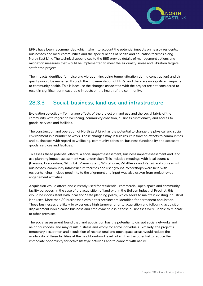

EPRs have been recommended which take into account the potential impacts on nearby residents, businesses and local communities and the special needs of health and education facilities along North East Link. The technical appendices to the EES provide details of management actions and mitigation measures that would be implemented to meet the air quality, noise and vibration targets set for the project.

The impacts identified for noise and vibration (including tunnel vibration during construction) and air quality would be managed through the implementation of EPRs, and there are no significant impacts to community health. This is because the changes associated with the project are not considered to result in significant or measurable impacts on the health of the community.

#### **28.3.3 Social, business, land use and infrastructure**

Evaluation objective – To manage effects of the project on land use and the social fabric of the community with regard to wellbeing, community cohesion, business functionality and access to goods, services and facilities.

The construction and operation of North East Link has the potential to change the physical and social environment in a number of ways. These changes may in turn result in flow on effects to communities and businesses with regard to wellbeing, community cohesion, business functionality and access to goods, services and facilities.

To assess these potential effects, a social impact assessment, business impact assessment and land use planning impact assessment was undertaken. This included meetings with local councils (Banyule, Boroondara, Nillumbik, Manningham, Whitehorse, Whittlesea and Yarra), and surveys with businesses, community infrastructure facilities and user groups. Workshops were held with residents living in close proximity to the alignment and input was also drawn from project-wide engagement activities.

Acquisition would affect land currently used for residential, commercial, open space and community facility purposes. In the case of the acquisition of land within the Bulleen Industrial Precinct, this would be inconsistent with local and State planning policy, which seeks to maintain existing industrial land uses. More than 80 businesses within this precinct are identified for permanent acquisition. These businesses are likely to experience high turnover prior to acquisition and following acquisition, displacement would cause business and employment loss if these businesses were unable to relocate to other premises.

The social assessment found that land acquisition has the potential to disrupt social networks and neighbourhoods, and may result in stress and worry for some individuals. Similarly, the project's temporary occupation and acquisition of recreational and open space areas would reduce the availability of these facilities at the neighbourhood level, which has the potential to reduce the immediate opportunity for active lifestyle activities and to connect with nature.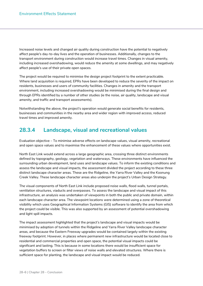Increased noise levels and changed air quality during construction have the potential to negatively affect people's day-to-day lives and the operation of businesses. Additionally, changes to the transport environment during construction would increase travel times. Changes in visual amenity, including increased overshadowing, would reduce the amenity at some dwellings, and may negatively affect people's use of their private open spaces.

The project would be required to minimise the design project footprint to the extent practicable. Where land acquisition is required, EPRs have been developed to reduce the severity of the impact on residents, businesses and users of community facilities. Changes in amenity and the transport environment, including increased overshadowing would be minimised during the final design and through EPRs identified by a number of other studies (ie the noise, air quality, landscape and visual amenity, and traffic and transport assessments).

Notwithstanding the above, the project's operation would generate social benefits for residents, businesses and communities in the nearby area and wider region with improved access, reduced travel times and improved amenity.

#### **28.3.4 Landscape, visual and recreational values**

Evaluation objective – To minimise adverse effects on landscape values, visual amenity, recreational and open space values and to maximise the enhancement of these values where opportunities exist.

North East Link would extend across a large geographic area, crossing three distinct environments defined by topography, geology, vegetation and waterways. These environments have influenced the surrounding urban development, land uses and landscape values. To inform the existing conditions and assess the landscape and visual impacts, the assessment divided the project according to these three distinct landscape character areas. These are the Ridgeline, the Yarra River Valley and the Koonung Creek Valley. These landscape character areas also underpin the project's Urban Design Strategy.

The visual components of North East Link include proposed noise walls, flood walls, tunnel portals, ventilation structures, viaducts and overpasses. To assess the landscape and visual impact of this infrastructure, an analysis was undertaken of viewpoints in both the public and private domain, within each landscape character area. The viewpoint locations were determined using a zone of theoretical visibility which uses Geographical Information Systems (GIS) software to identify the area from which the project could be visible. This was also supported by an assessment of potential overshadowing and light spill impacts.

The impact assessment highlighted that the project's landscape and visual impacts would be minimised by adoption of tunnels within the Ridgeline and Yarra River Valley landscape character areas, and because the Eastern Freeway upgrades would be contained largely within the existing freeway footprint. However, in places where permanent new infrastructure would be located close to residential and commercial properties and open space, the potential visual impacts could be significant and lasting. This is because in some locations there would be insufficient space for vegetation buffers to screen or filter views of noise walls and elevated structures. Where there is sufficient space for planting, the landscape and visual impact would be reduced.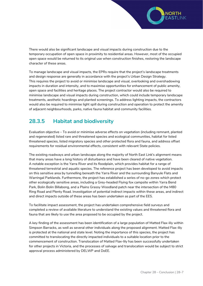

There would also be significant landscape and visual impacts during construction due to the temporary occupation of open space in proximity to residential areas. However, most of the occupied open space would be returned to its original use when construction finishes, restoring the landscape character of these areas.

To manage landscape and visual impacts, the EPRs require that the project's landscape treatments and design response are generally in accordance with the project's Urban Design Strategy. This requires the project to avoid or minimise landscape and visual, overlooking and overshadowing impacts in duration and intensity, and to maximise opportunities for enhancement of public amenity, open space and facilities and heritage places. The project contractor would also be required to minimise landscape and visual impacts during construction, which could include temporary landscape treatments, aesthetic hoardings and planted screenings. To address lighting impacts, the contractors would also be required to minimise light spill during construction and operation to protect the amenity of adjacent neighbourhoods, parks, native fauna habitat and community facilities.

#### **28.3.5 Habitat and biodiversity**

Evaluation objective – To avoid or minimise adverse effects on vegetation (including remnant, planted and regenerated) listed rare and threatened species and ecological communities, habitat for listed threatened species, listed migratory species and other protected flora and fauna, and address offset requirements for residual environmental effects, consistent with relevant State policies.

The existing roadways and urban landscape along the majority of North East Link's alignment means that many areas have a long history of disturbance and have been cleared of native vegetation. A notable exception is the Yarra River and its floodplain, which provides habitat for a range of threatened terrestrial and aquatic species. The reference project has been developed to avoid impacts on this sensitive area by tunnelling beneath the Yarra River and the surrounding Banyule Flats and Warringal Parklands. Furthermore, the project has established a series of no-go zones which protect other ecologically sensitive areas, including a Grey-headed Flying fox campsite within Yarra Bend Park, Bolin Bolin Billabong, and a Plains Grassy Woodland patch near the intersection of the M80 Ring Road and Plenty Road. Investigation of potential indirect impacts within these areas, and indirect and direct impacts outside of these areas has been undertaken as part of the EES.

To facilitate impact assessment, the project has undertaken comprehensive field surveys and completed a review of available literature to understand the existing values and threatened flora and fauna that are likely to use the area proposed to be occupied by the project.

A key finding of the assessment has been identification of a large population of Matted Flax-lily within Simpson Barracks, as well as several other individuals along the proposed alignment. Matted Flax-lily is protected at the national and state level. Noting the importance of this species, the project has committed to translocating the directly impacted individuals to a suitable location prior to the commencement of construction. Translocation of Matted Flax-lily has been successfully undertaken for other projects in Victoria, and the processes of salvage and translocation would be subject to strict approval process administered by DELWP and DoEE.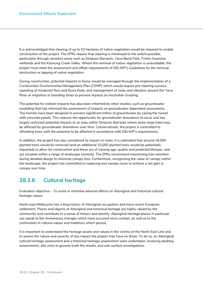It is acknowledged that clearing of up to 52 hectares of native vegetation would be required to enable construction of the project. The EPRs require that clearing is minimised to the extent possible, particularly through sensitive areas such as Simpson Barracks, Yarra Bend Park, Trinity Grammar wetlands and the Koonung Creek Valley. Where the removal of native vegetation is unavoidable, the project must meet the assessment and offset requirements of DELWP's Guidelines for the removal, destruction or lopping of native vegetation.

During construction, potential impacts to fauna would be managed through the implementation of a Construction Environmental Management Plan (CEMP) which would require pre-clearing surveys, reporting of incidental flora and fauna finds, and management of noise and vibration around the Yarra River at migration or breeding times to prevent impacts on Australian Grayling.

The potential for indirect impacts has also been informed by other studies, such as groundwater modelling that has informed the assessment of impacts on groundwater dependant ecosystems. The tunnels have been designed to prevent significant inflow of groundwater by casing the tunnel with concrete panels. This reduces the opportunity for groundwater drawdown to occur and has largely restricted potential impacts to an area within Simpson Barracks where some large trees may be affected by groundwater drawdown over time. Conservatively, the project is committed to offsetting trees with the potential to be affected in accordance with DELWP's requirements.

In addition, the project has also considered its impact on trees. It is estimated that around 16,000 planted trees would be removed (and an additional 10,000 planted trees would be potentially impacted) to allow for construction and these are of varying age, quality and predicted lifespan, and are situated within a range of landscape contexts. The EPRs recommend maximising tree retention during detailed design to minimise canopy loss. Furthermore, recognising the value of canopy within the landscape, the project has committed to replacing lost canopy cover to achieve a net gain in canopy over time.

#### **28.3.6 Cultural heritage**

Evaluation objective – To avoid or minimise adverse effects on Aboriginal and historical cultural heritage values.

North-east Melbourne has a long history of Aboriginal occupation and more recent European settlement. Places and objects of Aboriginal and historical heritage are highly valued by the community and contribute to a sense of history and identity. Aboriginal heritage places in particular can speak to the momentous changes which have occurred since contact, as well as to the continuities in cultural values and traditions which persist.

It is important to understand the heritage assets and values in the vicinity of the North East Link and to assess the nature and severity of any impact the project may have on these. To do so, an Aboriginal cultural heritage assessment and a historical heritage assessment were undertaken, involving desktop assessments, site visits to ground-truth the results, and sub-surface investigations.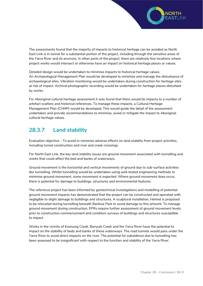

The assessments found that the majority of impacts to historical heritage can be avoided as North East Link is in tunnel for a substantial portion of the project, including through the sensitive areas of the Yarra River and its environs. In other parts of the project, there are relatively few locations where project works would intersect or otherwise have an impact on historical heritage places or values.

Detailed design would be undertaken to minimise impacts to historical heritage values. An Archaeological Management Plan would be developed to minimise and manage the disturbance of archaeological sites. Vibration monitoring would be undertaken during construction for heritage sites at risk of impact. Archival photographic recording would be undertaken for heritage places disturbed by works.

For Aboriginal cultural heritage assessment it was found that there would be impacts to a number of artefact scatters and historical references. To manage these impacts, a Cultural Heritage Management Plan (CHMP) would be developed. This would guide the detail of the assessment undertaken and provide recommendations to minimise, avoid or mitigate the impact to Aboriginal cultural heritage values.

#### **28.3.7 Land stability**

Evaluation objective – To avoid or minimise adverse effects on land stability from project activities, including tunnel construction and river and creek crossings.

For North East Link, the key land stability issues are ground movement associated with tunnelling and works that could affect the bed and banks of waterways.

Ground movement is the horizontal and vertical movements of ground due to sub-surface activities like tunnelling. Whilst tunnelling would be undertaken using well-tested engineering methods to minimise ground movement, some movement is expected. Where ground movement does occur, there is potential for damage to buildings, structures and environmental features.

The reference project has been informed by geotechnical investigations and modelling of potential ground movement impacts has demonstrated that the project can be constructed and operated with negligible to slight damage to buildings and structures. A sculptural installation, Helmet is proposed to be relocated during tunnelling beneath Banksia Park to avoid damage to this artwork. To manage ground movement during construction, EPRs require further assessment of ground movement levels prior to construction commencement and condition surveys of buildings and structures susceptible to impact.

Works in the vicinity of Koonung Creek, Banyule Creek and the Yarra River have the potential to impact on the stability of beds and banks of these waterways. The road tunnels would pass under the Yarra River to avoid direct impacts on the river. The potential for subsidence due to tunnelling has been assessed to be insignificant with respect to the function and stability of the Yarra River.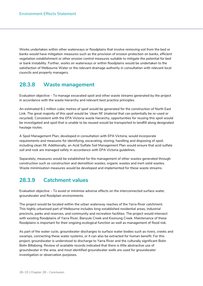Works undertaken within other waterways or floodplains that involve removing soil from the bed or banks would have mitigation measures such as the provision of erosion protection on banks, efficient vegetation establishment or other erosion control measures suitable to mitigate the potential for bed or bank instability. Further, works on waterways or within floodplains would be undertaken to the satisfaction of Melbourne Water or the relevant drainage authority in consultation with relevant local councils and property managers.

#### **28.3.8 Waste management**

Evaluation objective – To manage excavated spoil and other waste streams generated by the project in accordance with the waste hierarchy and relevant best practice principles.

An estimated 6.1 million cubic metres of spoil would be generated for the construction of North East Link. The great majority of this spoil would be 'clean fill' (material that can potentially be re-used or recycled). Consistent with the EPA Victoria waste hierarchy, opportunities for reusing this spoil would be investigated and spoil that is unable to be reused would be transported to landfill along designated haulage routes.

A Spoil Management Plan, developed in consultation with EPA Victoria, would incorporate requirements and measures for identifying, excavating, storing, handling and disposing of spoil, including clean fill. Additionally, an Acid Sulfate Soil Management Plan would ensure that acid sulfate soil and rock are managed safely in accordance with EPA Victoria guidelines.

Separately, measures would be established for the management of other wastes generated through construction such as construction and demolition wastes, organic wastes and inert solid wastes. Waste minimisation measures would be developed and implemented for these waste streams.

#### **28.3.9 Catchment values**

Evaluation objective – To avoid or minimise adverse effects on the interconnected surface water, groundwater and floodplain environments.

The project would be located within the urban waterway reaches of the Yarra River catchment. This highly urbanised part of Melbourne includes long-established residential areas, industrial precincts, parks and reserves, and community and recreation facilities. The project would intersect with existing floodplains of Yarra River, Banyule Creek and Koonung Creek. Maintenance of these floodplains is important for their ongoing ecological function as well as management of flood risk.

As part of the water cycle, groundwater discharges to surface water bodies such as rivers, creeks and swamps, connecting these water systems, or it can also be extracted for human benefit. For this project, groundwater is understood to discharge to Yarra River and the culturally significant Bolin Bolin Billabong. Review of available records indicated that there is little abstractive use of groundwater in the area, and most identified groundwater wells are used for groundwater investigation or observation purposes.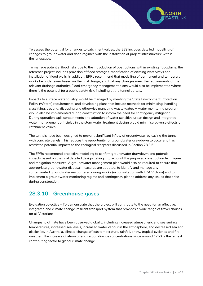

To assess the potential for changes to catchment values, the EES includes detailed modelling of changes to groundwater and flood regimes with the installation of project infrastructure within the landscape.

To manage potential flood risks due to the introduction of obstructions within existing floodplains, the reference project includes provision of flood storages, modification of existing waterways and installation of flood walls. In addition, EPRs recommend that modelling of permanent and temporary works be undertaken based on the final design, and that any changes meet the requirements of the relevant drainage authority. Flood emergency management plans would also be implemented where there is the potential for a public safety risk, including at the tunnel portals.

Impacts to surface water quality would be managed by meeting the State Environment Protection Policy (Waters) requirements, and developing plans that include methods for minimising, handling, classifying, treating, disposing and otherwise managing waste water. A water monitoring program would also be implemented during construction to inform the need for contingency mitigation. During operation, spill containments and adoption of water sensitive urban design and integrated water management principles in the stormwater treatment design would minimise adverse effects on catchment values.

The tunnels have been designed to prevent significant inflow of groundwater by casing the tunnel with concrete panels. This reduces the opportunity for groundwater drawdown to occur and has restricted potential impacts to the ecological receptors discussed in Section 28.3.5.

The EPRs recommend predictive modelling to confirm groundwater drawdown and potential impacts based on the final detailed design, taking into account the proposed construction techniques and mitigation measures. A groundwater management plan would also be required to ensure that appropriate groundwater disposal measures are adopted, to identify and manage any contaminated groundwater encountered during works (in consultation with EPA Victoria) and to implement a groundwater monitoring regime and contingency plan to address any issues that arise during construction.

#### **28.3.10 Greenhouse gases**

Evaluation objective – To demonstrate that the project will contribute to the need for an effective, integrated and climate change-resilient transport system that provides a wide range of travel choices for all Victorians.

Changes to climate have been observed globally, including increased atmospheric and sea surface temperatures, increased sea levels, increased water vapour in the atmosphere, and decreased sea and glacier ice. In Australia, climate change affects temperature, rainfall, snow, tropical cyclones and fire weather. The increase of atmospheric carbon dioxide concentrations since around 1750 is the largest contributing factor to global climate change.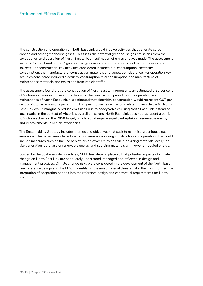The construction and operation of North East Link would involve activities that generate carbon dioxide and other greenhouse gases. To assess the potential greenhouse gas emissions from the construction and operation of North East Link, an estimation of emissions was made. The assessment included Scope 1 and Scope 2 greenhouse gas emissions sources and select Scope 3 emissions sources. For construction, key activities considered included fuel consumption, electricity consumption, the manufacture of construction materials and vegetation clearance. For operation key activities considered included electricity consumption, fuel consumption, the manufacture of maintenance materials and emissions from vehicle traffic.

The assessment found that the construction of North East Link represents an estimated 0.25 per cent of Victorian emissions on an annual basis for the construction period. For the operation and maintenance of North East Link, it is estimated that electricity consumption would represent 0.07 per cent of Victorian emissions per annum. For greenhouse gas emissions related to vehicle traffic, North East Link would marginally reduce emissions due to heavy vehicles using North East Link instead of local roads. In the context of Victoria's overall emissions, North East Link does not represent a barrier to Victoria achieving the 2050 target, which would require significant uptake of renewable energy and improvements in vehicle efficiencies.

The Sustainability Strategy includes themes and objectives that seek to minimise greenhouse gas emissions. Theme six seeks to reduce carbon emissions during construction and operation. This could include measures such as the use of biofuels or lower emissions fuels, sourcing materials locally, onsite generation, purchase of renewable energy and sourcing materials with lower embodied energy.

Guided by the Sustainability objectives, NELP has steps in place so that potential impacts of climate change on North East Link are adequately understood, managed and reflected in design and management practices. Climate change risks were considered in the development of the North East Link reference design and the EES. In identifying the most material climate risks, this has informed the integration of adaptation options into the reference design and contractual requirements for North East Link.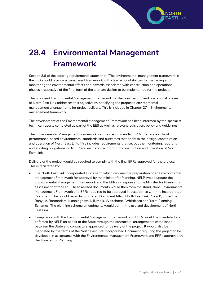

## **28.4 Environmental Management Framework**

Section 3.6 of the scoping requirements states that*,* 'The environmental management framework in the EES should provide a transparent framework with clear accountabilities for managing and monitoring the environmental effects and hazards associated with construction and operational phases irrespective of the final form of the ultimate design to be implemented for the project'.

The proposed Environmental Management Framework for the construction and operational phases of North East Link addresses this objective by specifying the proposed environmental management arrangements for project delivery. This is included in Chapter 27 – Environmental management framework.

The development of the Environmental Management Framework has been informed by the specialist technical reports completed as part of the EES as well as relevant legislation, policy and guidelines.

The Environmental Management Framework includes recommended EPRs that are a suite of performance-based environmental standards and outcomes that apply to the design, construction and operation of North East Link. This includes requirements that set out the monitoring, reporting and auditing obligations on NELP and each contractor during construction and operation of North East Link.

Delivery of the project would be required to comply with the final EPRs approved for the project. This is facilitated by:

- The North East Link Incorporated Document, which requires the preparation of an Environmental Management Framework for approval by the Minister for Planning. NELP would update the Environmental Management Framework and the EPRs in response to the Minister for Planning's assessment of the EES. These revised documents would then form the stand-alone Environmental Management Framework and EPRs required to be approved in accordance with the Incorporated Document. This would be an Incorporated Document titled 'North East Link Project', under the Banyule, Boroondara, Manningham, Nillumbik, Whitehorse, Whittlesea and Yarra Planning Schemes. The planning scheme amendments would permit the use and development of North East Link.
- Compliance with the Environmental Management Framework and EPRs would be mandated and enforced by NELP on behalf of the State through the contractual arrangements established between the State and contractors appointed for delivery of the project. It would also be mandated by the terms of the North East Link Incorporated Document requiring the project to be developed in accordance with the Environmental Management Framework and EPRs approved by the Minister for Planning.